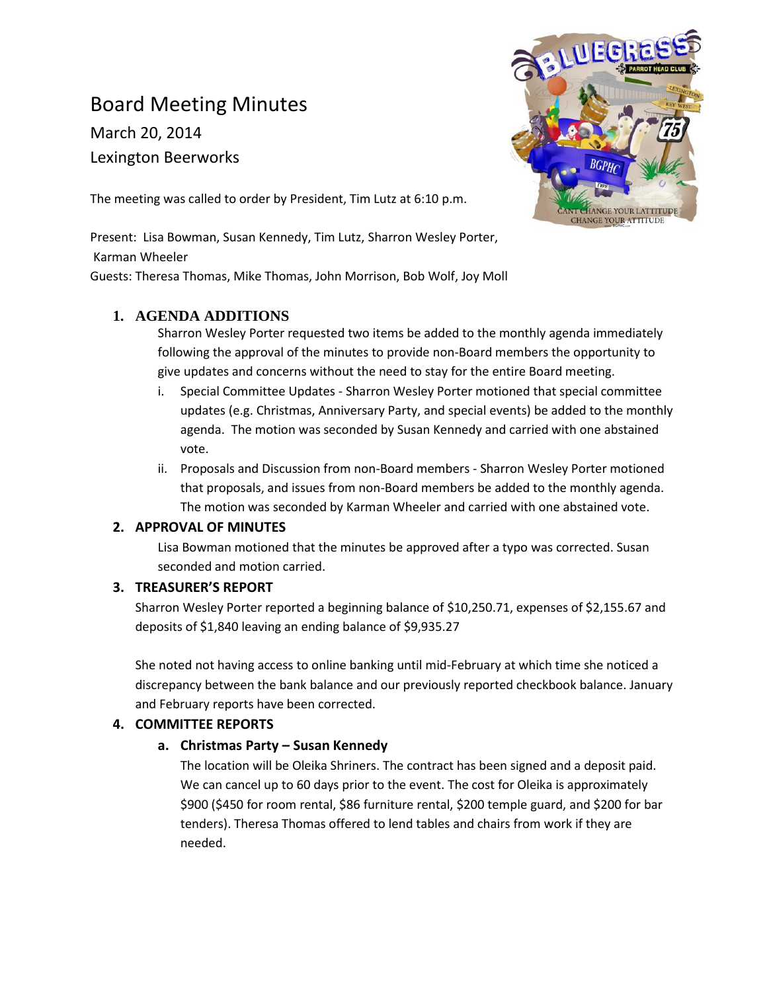# Board Meeting Minutes

March 20, 2014 Lexington Beerworks



The meeting was called to order by President, Tim Lutz at 6:10 p.m.

Present: Lisa Bowman, Susan Kennedy, Tim Lutz, Sharron Wesley Porter, Karman Wheeler

Guests: Theresa Thomas, Mike Thomas, John Morrison, Bob Wolf, Joy Moll

# **1. AGENDA ADDITIONS**

Sharron Wesley Porter requested two items be added to the monthly agenda immediately following the approval of the minutes to provide non-Board members the opportunity to give updates and concerns without the need to stay for the entire Board meeting.

- i. Special Committee Updates Sharron Wesley Porter motioned that special committee updates (e.g. Christmas, Anniversary Party, and special events) be added to the monthly agenda. The motion was seconded by Susan Kennedy and carried with one abstained vote.
- ii. Proposals and Discussion from non-Board members Sharron Wesley Porter motioned that proposals, and issues from non-Board members be added to the monthly agenda. The motion was seconded by Karman Wheeler and carried with one abstained vote.

# **2. APPROVAL OF MINUTES**

Lisa Bowman motioned that the minutes be approved after a typo was corrected. Susan seconded and motion carried.

# **3. TREASURER'S REPORT**

Sharron Wesley Porter reported a beginning balance of \$10,250.71, expenses of \$2,155.67 and deposits of \$1,840 leaving an ending balance of \$9,935.27

She noted not having access to online banking until mid-February at which time she noticed a discrepancy between the bank balance and our previously reported checkbook balance. January and February reports have been corrected.

# **4. COMMITTEE REPORTS**

# **a. Christmas Party – Susan Kennedy**

The location will be Oleika Shriners. The contract has been signed and a deposit paid. We can cancel up to 60 days prior to the event. The cost for Oleika is approximately \$900 (\$450 for room rental, \$86 furniture rental, \$200 temple guard, and \$200 for bar tenders). Theresa Thomas offered to lend tables and chairs from work if they are needed.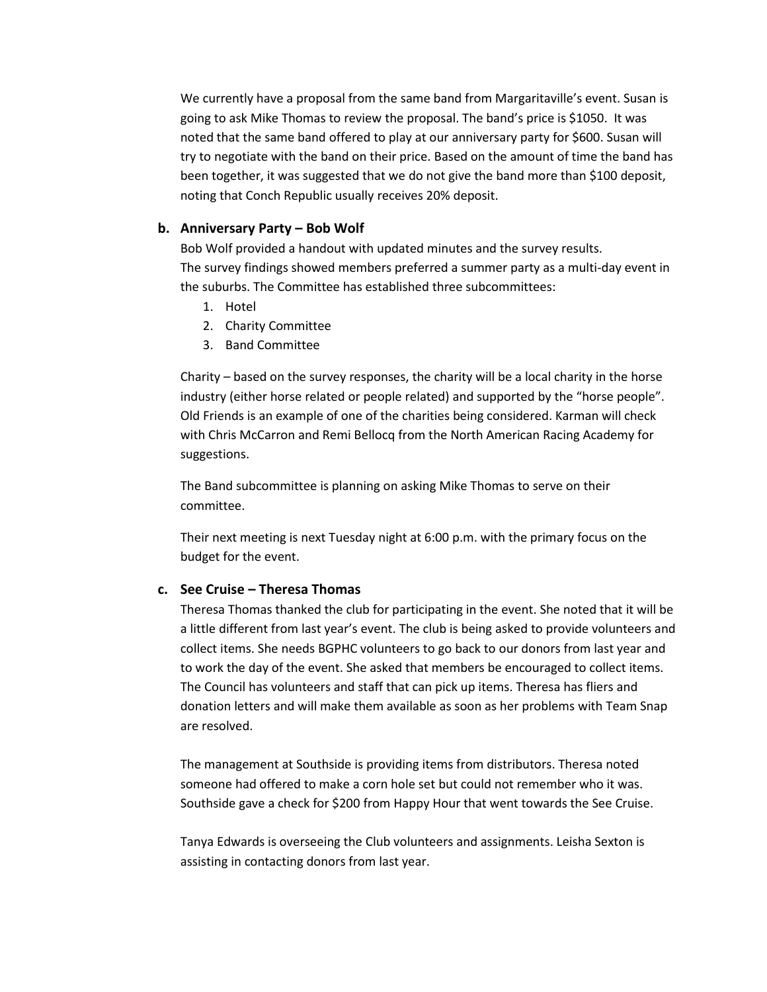We currently have a proposal from the same band from Margaritaville's event. Susan is going to ask Mike Thomas to review the proposal. The band's price is \$1050. It was noted that the same band offered to play at our anniversary party for \$600. Susan will try to negotiate with the band on their price. Based on the amount of time the band has been together, it was suggested that we do not give the band more than \$100 deposit, noting that Conch Republic usually receives 20% deposit.

#### **b. Anniversary Party – Bob Wolf**

Bob Wolf provided a handout with updated minutes and the survey results. The survey findings showed members preferred a summer party as a multi-day event in the suburbs. The Committee has established three subcommittees:

- 1. Hotel
- 2. Charity Committee
- 3. Band Committee

Charity – based on the survey responses, the charity will be a local charity in the horse industry (either horse related or people related) and supported by the "horse people". Old Friends is an example of one of the charities being considered. Karman will check with Chris McCarron and Remi Bellocq from the North American Racing Academy for suggestions.

The Band subcommittee is planning on asking Mike Thomas to serve on their committee.

Their next meeting is next Tuesday night at 6:00 p.m. with the primary focus on the budget for the event.

## **c. See Cruise – Theresa Thomas**

Theresa Thomas thanked the club for participating in the event. She noted that it will be a little different from last year's event. The club is being asked to provide volunteers and collect items. She needs BGPHC volunteers to go back to our donors from last year and to work the day of the event. She asked that members be encouraged to collect items. The Council has volunteers and staff that can pick up items. Theresa has fliers and donation letters and will make them available as soon as her problems with Team Snap are resolved.

The management at Southside is providing items from distributors. Theresa noted someone had offered to make a corn hole set but could not remember who it was. Southside gave a check for \$200 from Happy Hour that went towards the See Cruise.

Tanya Edwards is overseeing the Club volunteers and assignments. Leisha Sexton is assisting in contacting donors from last year.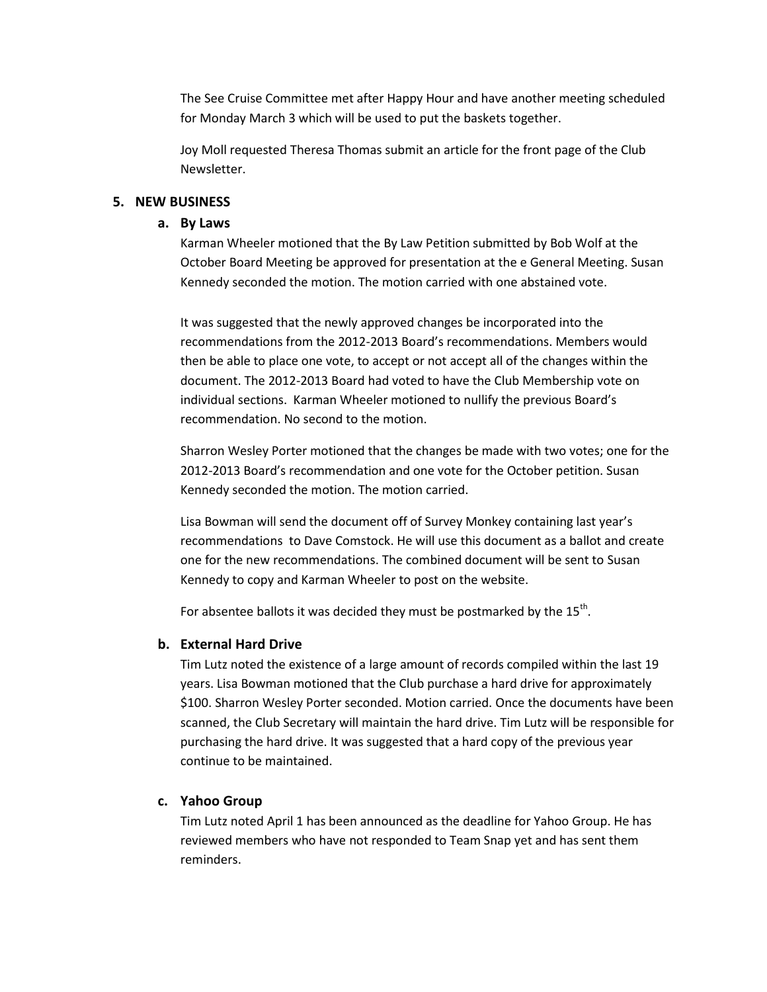The See Cruise Committee met after Happy Hour and have another meeting scheduled for Monday March 3 which will be used to put the baskets together.

Joy Moll requested Theresa Thomas submit an article for the front page of the Club Newsletter.

#### **5. NEW BUSINESS**

#### **a. By Laws**

Karman Wheeler motioned that the By Law Petition submitted by Bob Wolf at the October Board Meeting be approved for presentation at the e General Meeting. Susan Kennedy seconded the motion. The motion carried with one abstained vote.

It was suggested that the newly approved changes be incorporated into the recommendations from the 2012-2013 Board's recommendations. Members would then be able to place one vote, to accept or not accept all of the changes within the document. The 2012-2013 Board had voted to have the Club Membership vote on individual sections. Karman Wheeler motioned to nullify the previous Board's recommendation. No second to the motion.

Sharron Wesley Porter motioned that the changes be made with two votes; one for the 2012-2013 Board's recommendation and one vote for the October petition. Susan Kennedy seconded the motion. The motion carried.

Lisa Bowman will send the document off of Survey Monkey containing last year's recommendations to Dave Comstock. He will use this document as a ballot and create one for the new recommendations. The combined document will be sent to Susan Kennedy to copy and Karman Wheeler to post on the website.

For absentee ballots it was decided they must be postmarked by the 15<sup>th</sup>.

#### **b. External Hard Drive**

Tim Lutz noted the existence of a large amount of records compiled within the last 19 years. Lisa Bowman motioned that the Club purchase a hard drive for approximately \$100. Sharron Wesley Porter seconded. Motion carried. Once the documents have been scanned, the Club Secretary will maintain the hard drive. Tim Lutz will be responsible for purchasing the hard drive. It was suggested that a hard copy of the previous year continue to be maintained.

#### **c. Yahoo Group**

Tim Lutz noted April 1 has been announced as the deadline for Yahoo Group. He has reviewed members who have not responded to Team Snap yet and has sent them reminders.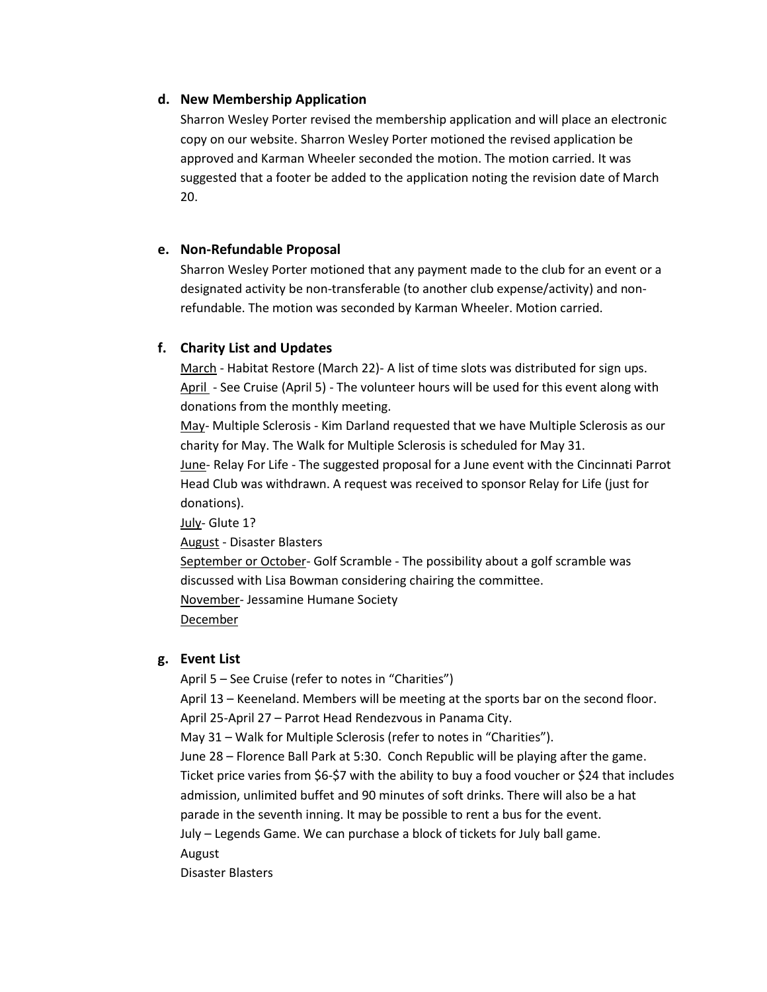#### **d. New Membership Application**

Sharron Wesley Porter revised the membership application and will place an electronic copy on our website. Sharron Wesley Porter motioned the revised application be approved and Karman Wheeler seconded the motion. The motion carried. It was suggested that a footer be added to the application noting the revision date of March 20.

#### **e. Non-Refundable Proposal**

Sharron Wesley Porter motioned that any payment made to the club for an event or a designated activity be non-transferable (to another club expense/activity) and nonrefundable. The motion was seconded by Karman Wheeler. Motion carried.

## **f. Charity List and Updates**

March - Habitat Restore (March 22)- A list of time slots was distributed for sign ups. April - See Cruise (April 5) - The volunteer hours will be used for this event along with donations from the monthly meeting.

May- Multiple Sclerosis - Kim Darland requested that we have Multiple Sclerosis as our charity for May. The Walk for Multiple Sclerosis is scheduled for May 31.

June- Relay For Life - The suggested proposal for a June event with the Cincinnati Parrot Head Club was withdrawn. A request was received to sponsor Relay for Life (just for donations).

July- Glute 1? August - Disaster Blasters September or October- Golf Scramble - The possibility about a golf scramble was discussed with Lisa Bowman considering chairing the committee. November- Jessamine Humane Society **December** 

## **g. Event List**

April 5 – See Cruise (refer to notes in "Charities") April 13 – Keeneland. Members will be meeting at the sports bar on the second floor. April 25-April 27 – Parrot Head Rendezvous in Panama City. May 31 – Walk for Multiple Sclerosis (refer to notes in "Charities"). June 28 – Florence Ball Park at 5:30. Conch Republic will be playing after the game. Ticket price varies from \$6-\$7 with the ability to buy a food voucher or \$24 that includes admission, unlimited buffet and 90 minutes of soft drinks. There will also be a hat parade in the seventh inning. It may be possible to rent a bus for the event. July – Legends Game. We can purchase a block of tickets for July ball game. August Disaster Blasters